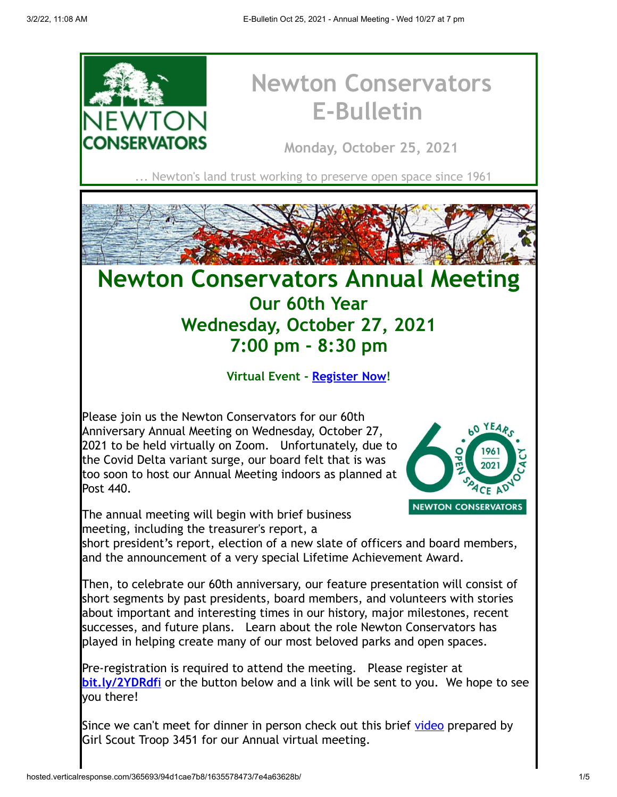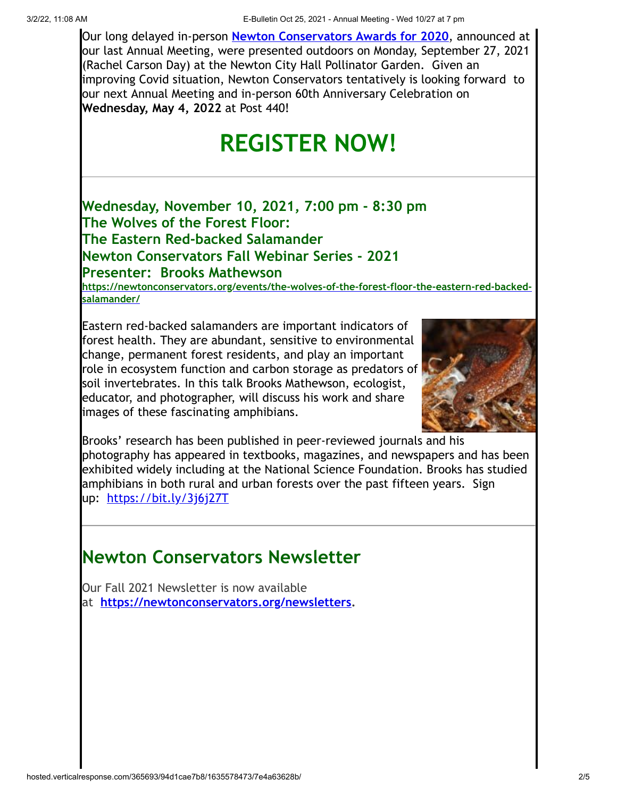Our long delayed in-person **[Newton Conservators Awards for 2020](https://cts.vresp.com/c/?NewtonConservators/94d1cae7b8/7e4a63628b/58bcb3184b)**, announced at our last Annual Meeting, were presented outdoors on Monday, September 27, 2021 (Rachel Carson Day) at the Newton City Hall Pollinator Garden. Given an improving Covid situation, Newton Conservators tentatively is looking forward to our next Annual Meeting and in-person 60th Anniversary Celebration on **Wednesday, May 4, 2022** at Post 440!

# **REGISTER NOW!**

**Wednesday, November 10, 2021, 7:00 pm - 8:30 pm The Wolves of the Forest Floor: The Eastern Red-backed Salamander Newton Conservators Fall Webinar Series - 2021 Presenter: Brooks Mathewson**

**[https://newtonconservators.org/events/the-wolves-of-the-forest-floor-the-eastern-red-backed](https://cts.vresp.com/c/?NewtonConservators/94d1cae7b8/7e4a63628b/b35d963b99)salamander/**

Eastern red-backed salamanders are important indicators of forest health. They are abundant, sensitive to environmental change, permanent forest residents, and play an important role in ecosystem function and carbon storage as predators of soil invertebrates. In this talk Brooks Mathewson, ecologist, educator, and photographer, will discuss his work and share images of these fascinating amphibians.



Brooks' research has been published in peer-reviewed journals and his photography has appeared in textbooks, magazines, and newspapers and has been exhibited widely including at the National Science Foundation. Brooks has studied amphibians in both rural and urban forests over the past fifteen years. Sign up: [https://bit.ly/3j6j27T](https://cts.vresp.com/c/?NewtonConservators/94d1cae7b8/7e4a63628b/b42995289f)

# **Newton Conservators Newsletter**

Our Fall 2021 Newsletter is now available at **[https://newtonconservators.org/newsletters](https://cts.vresp.com/c/?NewtonConservators/94d1cae7b8/7e4a63628b/89e9c9a146).**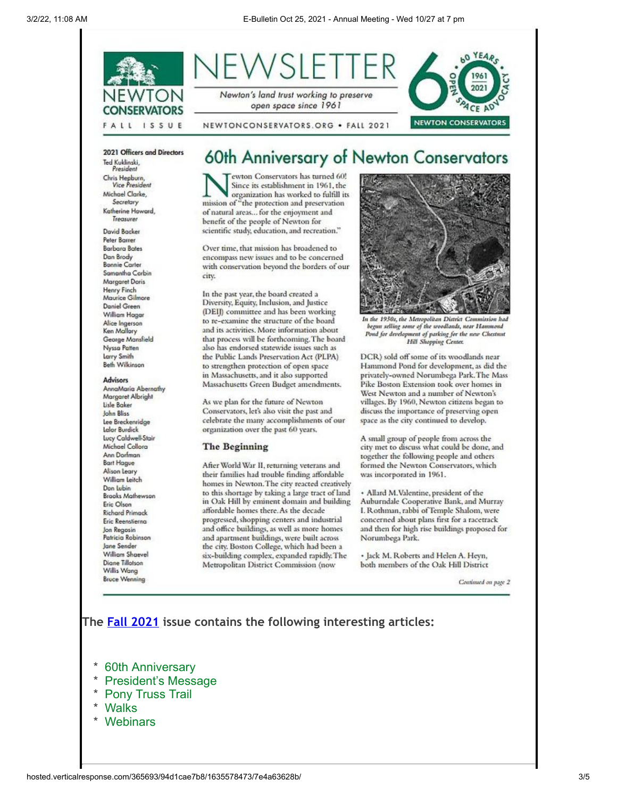

Ted Kuklinski, President Chris Hepburn, **Vice President** 

Michael Clarke, Secretary Katherine Howard Treasurer

David Backer Peter Barrer **Barbara Bates** Dan Brody **Bonnie Carler** Samantha Carbin Margaret Doris **Henry Finch** Maurice Gilmore Daniel Green William Hoogr Alice Ingerson Ken Mallory George Mansfield Nyssa Patten Larry Smith Beth Wilkinson

#### Advisors

AnnaMaria Abernathy Margaret Albright Lisle Baker John Bliss Lee Breckenridge Lelor Burdick Lucy Caldwell-Stair Michael Collora Ann Dorfman **Bart Hague** Alison Leary William Leitch Don Lubin **Brooks Mathewson** Eric Olson **Richard Primack** Eric Reenstierna Jon Regosin Patricia Robinson Jane Sender William Shaevel Diane Tillotson Willis Wang **Bruce Wenning** 

ewton Conservators has turned 60! Since its establishment in 1961, the organization has worked to fulfill its mission of "the protection and preservation of natural areas... for the enjoyment and benefit of the people of Newton for scientific study, education, and recreation."

Over time, that mission has broadened to encompass new issues and to be concerned with conservation beyond the borders of our city.

In the past year, the board created a Diversity, Equity, Inclusion, and Justice (DEI) committee and has been working to re-examine the structure of the board and its activities. More information about that process will be forthcoming. The board also has endorsed statewide issues such as the Public Lands Preservation Act (PLPA) to strengthen protection of open space in Massachusetts, and it also supported Massachusetts Green Budget amendments.

As we plan for the future of Newton Conservators, let's also visit the past and celebrate the many accomplishments of our organization over the past 60 years.

#### The Beginning

After World War II, returning veterans and their families had trouble finding affordable homes in Newton. The city reacted creatively to this shortage by taking a large tract of land in Oak Hill by eminent domain and building affordable homes there. As the decade progressed, shopping centers and industrial and office buildings, as well as more homes and apartment buildings, were built across the city. Boston College, which had been a six-building complex, expanded rapidly. The Metropolitan District Commission (now



In the 1950s, the Metropolitan District Commission had begun selling some of the woodlands, near Hammond Pond for development of parking for the new Chestnut **Hill Shopping Center.** 

DCR) sold off some of its woodlands near Hammond Pond for development, as did the privately-owned Norumbega Park. The Mass Pike Boston Extension took over homes in West Newton and a number of Newton's villages. By 1960, Newton citizens began to discuss the importance of preserving open space as the city continued to develop.

A small group of people from across the city met to discuss what could be done, and together the following people and others formed the Newton Conservators, which was incorporated in 1961.

· Allard M.Valentine, president of the Auburndale Cooperative Bank, and Murray I. Rothman, rabbi of Temple Shalom, were concerned about plans first for a racetrack and then for high rise buildings proposed for Norumbega Park.

· Jack M. Roberts and Helen A. Hevn. both members of the Oak Hill District

Continued on page 2

## **The [Fall 2021](https://cts.vresp.com/c/?NewtonConservators/94d1cae7b8/7e4a63628b/e223b3637d) issue contains the following interesting articles:**

- \* [60th Anniversary](https://cts.vresp.com/c/?NewtonConservators/94d1cae7b8/7e4a63628b/715dc0d6be)
- \* [President's Message](https://cts.vresp.com/c/?NewtonConservators/94d1cae7b8/7e4a63628b/3eb1facdfa)
- \* [Pony Truss Trail](https://cts.vresp.com/c/?NewtonConservators/94d1cae7b8/7e4a63628b/e9d073d696)
- \* [Walks](https://cts.vresp.com/c/?NewtonConservators/94d1cae7b8/7e4a63628b/8413945220)
- \* [Webinars](https://cts.vresp.com/c/?NewtonConservators/94d1cae7b8/7e4a63628b/a1914b0da9)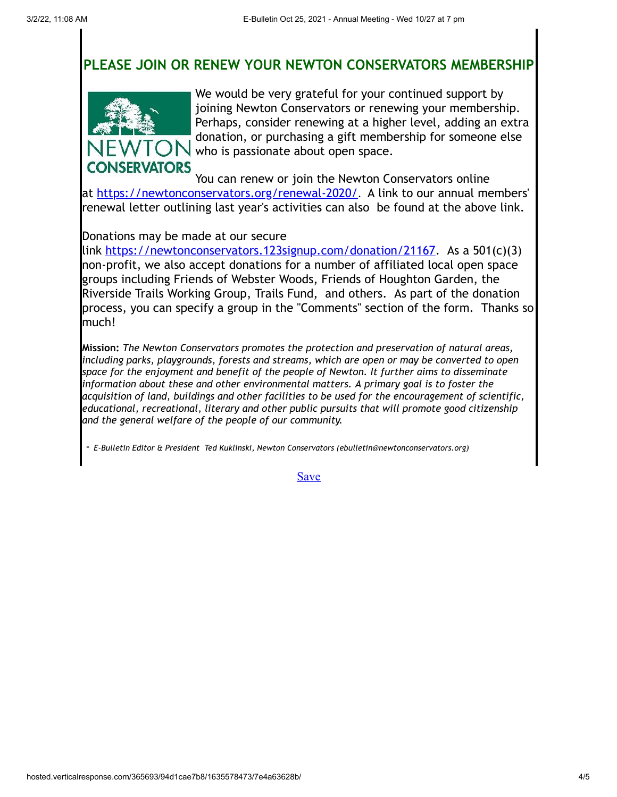# **PLEASE JOIN OR RENEW YOUR NEWTON CONSERVATORS MEMBERSHIP**



We would be very grateful for your continued support by joining Newton Conservators or renewing your membership. Perhaps, consider renewing at a higher level, adding an extra donation, or purchasing a gift membership for someone else who is passionate about open space.

You can renew or join the Newton Conservators online at [https://newtonconservators.org/renewal-2020/](https://cts.vresp.com/c/?NewtonConservators/94d1cae7b8/7e4a63628b/6a48f63d5f). A link to our annual members' renewal letter outlining last year's activities can also be found at the above link.

### Donations may be made at our secure

link [https://newtonconservators.123signup.com/donation/21167](https://cts.vresp.com/c/?NewtonConservators/94d1cae7b8/7e4a63628b/777c82105e). As a 501(c)(3) non-profit, we also accept donations for a number of affiliated local open space groups including Friends of Webster Woods, Friends of Houghton Garden, the Riverside Trails Working Group, Trails Fund, and others. As part of the donation process, you can specify a group in the "Comments" section of the form. Thanks so much!

**Mission:** *The Newton Conservators promotes the protection and preservation of natural areas, including parks, playgrounds, forests and streams, which are open or may be converted to open space for the enjoyment and benefit of the people of Newton. It further aims to disseminate information about these and other environmental matters. A primary goal is to foster the acquisition of land, buildings and other facilities to be used for the encouragement of scientific, educational, recreational, literary and other public pursuits that will promote good citizenship and the general welfare of the people of our community.*

- *E-Bulletin Editor & President Ted Kuklinski, Newton Conservators (ebulletin@newtonconservators.org)*

**[Save](https://cts.vresp.com/c/?NewtonConservators/94d1cae7b8/7e4a63628b/87b4f71333/page=build#)**